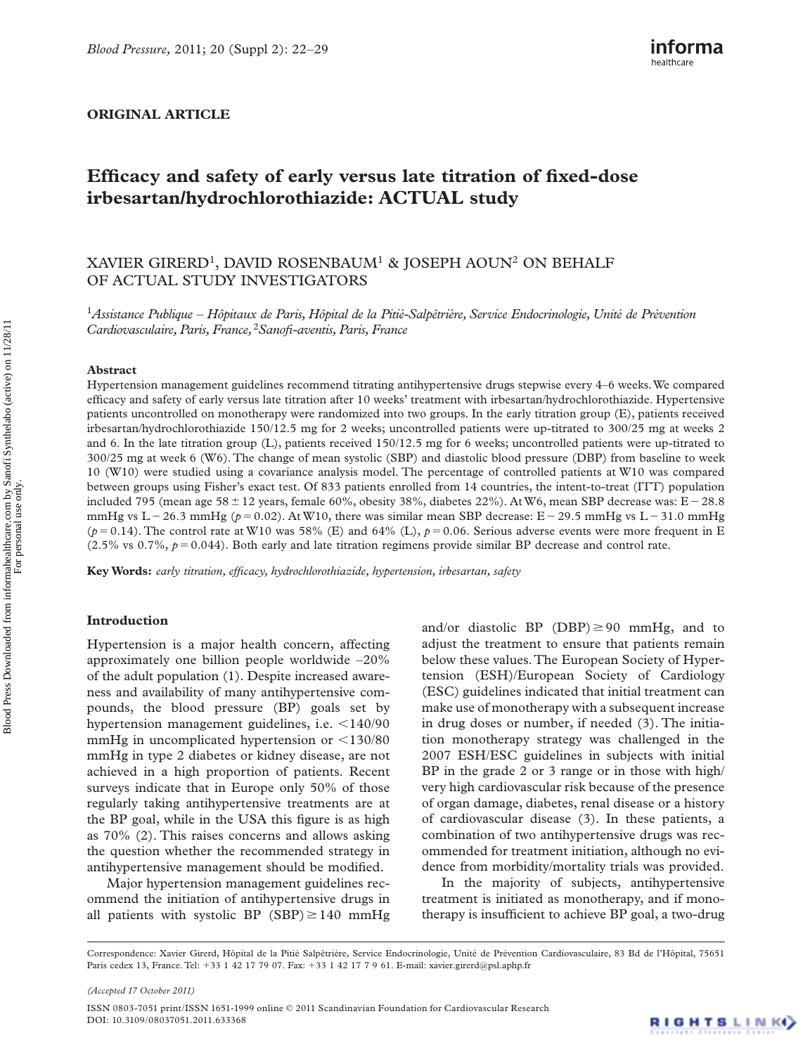## **ORIGINAL ARTICLE**

# **Efficacy and safety of early versus late titration of fixed-dose irbesartan/hydrochlorothiazide: ACTUAL study**

# XAVIER GIRERD<sup>1</sup>, DAVID ROSENBAUM<sup>1</sup> & JOSEPH AOUN<sup>2</sup> ON BEHALF OF ACTUAL STUDY INVESTIGATORS

<sup>1</sup>Assistance Publique – Hôpitaux de Paris, Hôpital de la Pitié-Salpêtrière, Service Endocrinologie, Unité de Prévention *Cardiovasculaire, Paris, France,* <sup>2</sup>*Sanofi -aventis, Paris, France* 

#### **Abstract**

Hypertension management guidelines recommend titrating antihypertensive drugs stepwise every 4–6 weeks. We compared efficacy and safety of early versus late titration after 10 weeks' treatment with irbesartan/hydrochlorothiazide. Hypertensive patients uncontrolled on monotherapy were randomized into two groups. In the early titration group (E), patients received irbesartan/hydrochlorothiazide 150/12.5 mg for 2 weeks; uncontrolled patients were up-titrated to 300/25 mg at weeks 2 and 6. In the late titration group (L), patients received 150/12.5 mg for 6 weeks; uncontrolled patients were up-titrated to 300/25 mg at week 6 (W6). The change of mean systolic (SBP) and diastolic blood pressure (DBP) from baseline to week 10 (W10) were studied using a covariance analysis model. The percentage of controlled patients at W10 was compared between groups using Fisher's exact test. Of 833 patients enrolled from 14 countries, the intent-to-treat (ITT) population included 795 (mean age 58  $\pm$  12 years, female 60%, obesity 38%, diabetes 22%). At W6, mean SBP decrease was: E – 28.8 mmHg vs  $L - 26.3$  mmHg ( $p = 0.02$ ). At W10, there was similar mean SBP decrease:  $E - 29.5$  mmHg vs  $L - 31.0$  mmHg  $(p=0.14)$ . The control rate at W10 was 58% (E) and 64% (L),  $p=0.06$ . Serious adverse events were more frequent in E  $(2.5\% \text{ vs } 0.7\%, p = 0.044)$ . Both early and late titration regimens provide similar BP decrease and control rate.

**Key Words:** early titration, efficacy, hydrochlorothiazide, hypertension, irbesartan, safety

#### **Introduction**

Hypertension is a major health concern, affecting approximately one billion people worldwide  $-20\%$ of the adult population (1). Despite increased awareness and availability of many antihypertensive compounds, the blood pressure (BP) goals set by hypertension management guidelines, i.e.  $<$ 140/90 mmHg in uncomplicated hypertension or  $\leq$ 130/80 mmHg in type 2 diabetes or kidney disease, are not achieved in a high proportion of patients. Recent surveys indicate that in Europe only 50% of those regularly taking antihypertensive treatments are at the BP goal, while in the USA this figure is as high as 70% (2). This raises concerns and allows asking the question whether the recommended strategy in antihypertensive management should be modified.

Major hypertension management guidelines recommend the initiation of antihypertensive drugs in all patients with systolic BP (SBP)  $\geq$  140 mmHg and/or diastolic BP (DBP)  $\geq$  90 mmHg, and to adjust the treatment to ensure that patients remain below these values. The European Society of Hypertension (ESH)/European Society of Cardiology (ESC) guidelines indicated that initial treatment can make use of monotherapy with a subsequent increase in drug doses or number, if needed (3). The initiation monotherapy strategy was challenged in the 2007 ESH/ESC guidelines in subjects with initial BP in the grade 2 or 3 range or in those with high/ very high cardiovascular risk because of the presence of organ damage, diabetes, renal disease or a history of cardiovascular disease (3). In these patients, a combination of two antihypertensive drugs was recommended for treatment initiation, although no evidence from morbidity/mortality trials was provided.

In the majority of subjects, antihypertensive treatment is initiated as monotherapy, and if monotherapy is insufficient to achieve BP goal, a two-drug

Correspondence: Xavier Girerd, Hôpital de la Pitié Salpêtrière, Service Endocrinologie, Unité de Prévention Cardiovasculaire, 83 Bd de l'Hôpital, 75651 Paris cedex 13, France. Tel: +33 1 42 17 79 07. Fax: +33 1 42 17 7 9 61. E-mail: xavier.girerd@psl.aphp.fr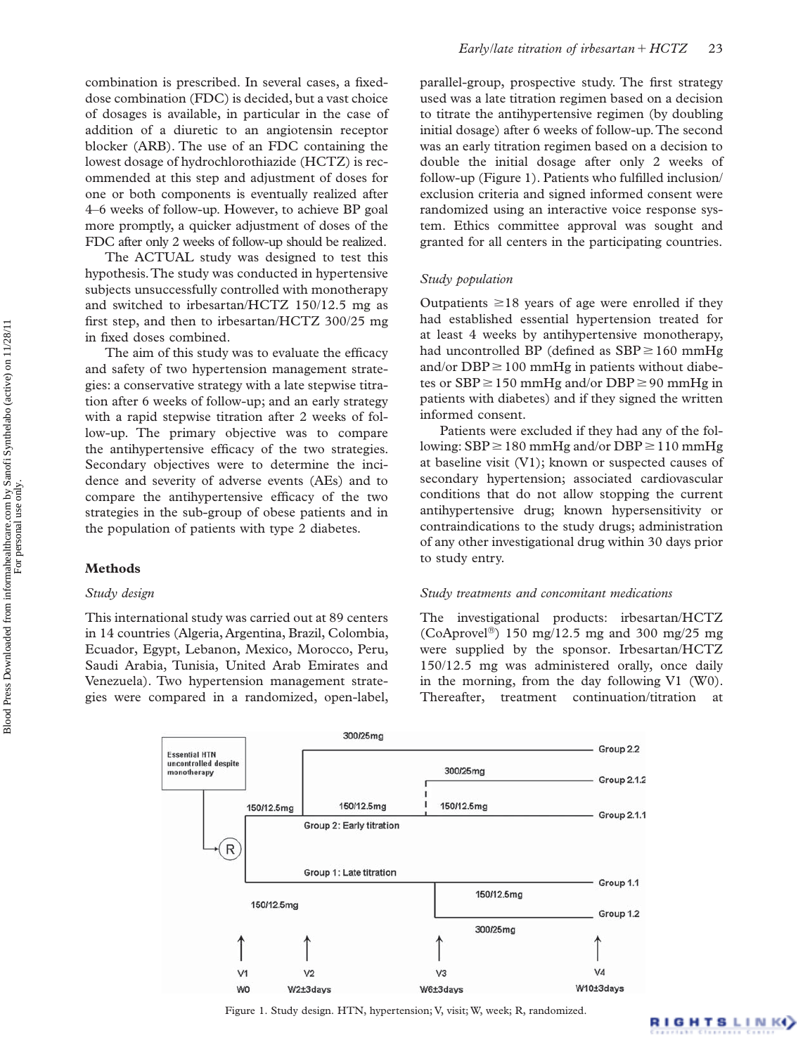combination is prescribed. In several cases, a fixeddose combination (FDC) is decided, but a vast choice of dosages is available, in particular in the case of addition of a diuretic to an angiotensin receptor blocker (ARB). The use of an FDC containing the lowest dosage of hydrochlorothiazide (HCTZ) is recommended at this step and adjustment of doses for one or both components is eventually realized after 4–6 weeks of follow-up. However, to achieve BP goal more promptly, a quicker adjustment of doses of the FDC after only 2 weeks of follow-up should be realized.

The ACTUAL study was designed to test this hypothesis. The study was conducted in hypertensive subjects unsuccessfully controlled with monotherapy and switched to irbesartan/HCTZ 150/12.5 mg as first step, and then to irbesartan/HCTZ 300/25 mg in fixed doses combined.

The aim of this study was to evaluate the efficacy and safety of two hypertension management strategies: a conservative strategy with a late stepwise titration after 6 weeks of follow-up; and an early strategy with a rapid stepwise titration after 2 weeks of follow-up. The primary objective was to compare the antihypertensive efficacy of the two strategies. Secondary objectives were to determine the incidence and severity of adverse events (AEs) and to compare the antihypertensive efficacy of the two strategies in the sub-group of obese patients and in the population of patients with type 2 diabetes.

#### **Methods**

#### *Study design*

This international study was carried out at 89 centers in 14 countries (Algeria, Argentina, Brazil, Colombia, Ecuador, Egypt, Lebanon, Mexico, Morocco, Peru, Saudi Arabia, Tunisia, United Arab Emirates and Venezuela). Two hypertension management strategies were compared in a randomized, open-label, parallel-group, prospective study. The first strategy used was a late titration regimen based on a decision to titrate the antihypertensive regimen (by doubling initial dosage) after 6 weeks of follow-up. The second was an early titration regimen based on a decision to double the initial dosage after only 2 weeks of follow-up (Figure 1). Patients who fulfilled inclusion/ exclusion criteria and signed informed consent were randomized using an interactive voice response system.Ethics committee approval was sought and granted for all centers in the participating countries.

#### *Study population*

Outpatients  $\geq 18$  years of age were enrolled if they had established essential hypertension treated for at least 4 weeks by antihypertensive monotherapy, had uncontrolled BP (defined as  $SBP \ge 160$  mmHg and/or  $DBP \ge 100$  mmHg in patients without diabetes or  $SBP \ge 150$  mmHg and/or  $DBP \ge 90$  mmHg in patients with diabetes) and if they signed the written informed consent.

Patients were excluded if they had any of the following:  $SBP \ge 180$  mmHg and/or  $DBP \ge 110$  mmHg at baseline visit (V1); known or suspected causes of secondary hypertension; associated cardiovascular conditions that do not allow stopping the current antihypertensive drug; known hypersensitivity or contraindications to the study drugs; administration of any other investigational drug within 30 days prior to study entry.

#### *Study treatments and concomitant medications*

The investigational products: irbesartan/HCTZ (CoAprovel<sup>®</sup>) 150 mg/12.5 mg and 300 mg/25 mg were supplied by the sponsor. Irbesartan/HCTZ 150/12.5 mg was administered orally, once daily in the morning, from the day following V1 (W0). Thereafter, treatment continuation/titration



Figure 1.Study design. HTN, hypertension; V, visit; W, week; R, randomized.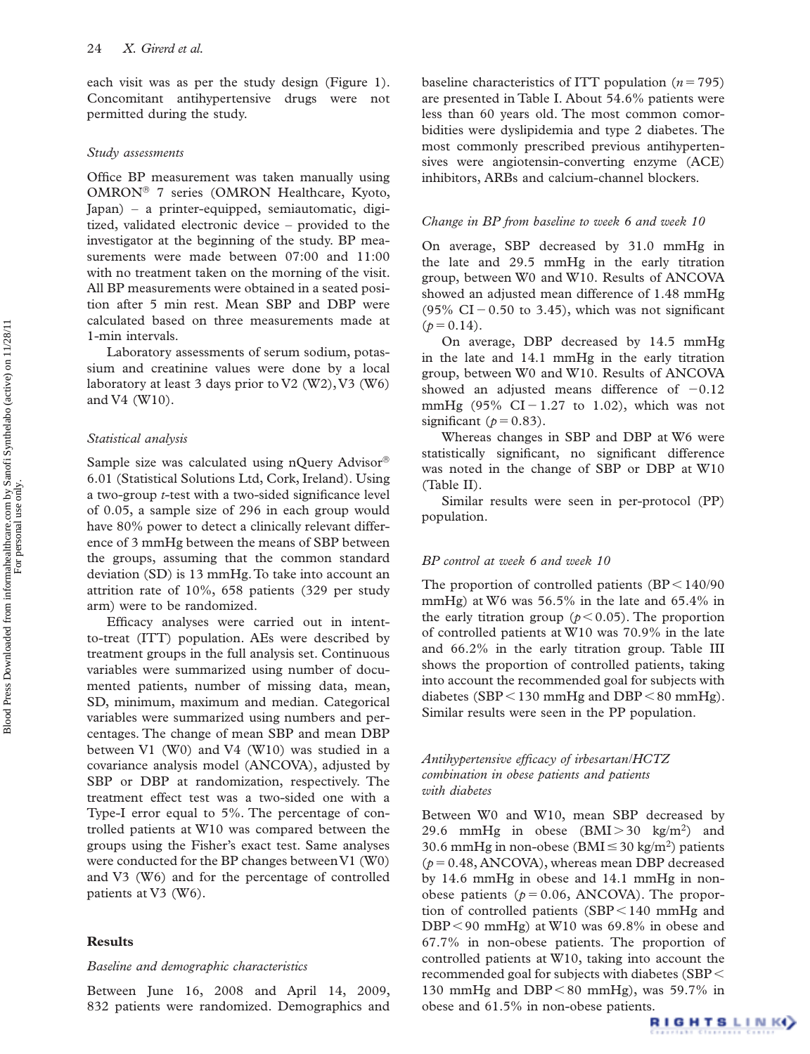each visit was as per the study design (Figure 1). Concomitant antihypertensive drugs were not permitted during the study.

#### *Study assessments*

Office BP measurement was taken manually using OMRON<sup>®</sup> 7 series (OMRON Healthcare, Kyoto, Japan) – a printer-equipped, semiautomatic, digitized, validated electronic device  $-$  provided to the investigator at the beginning of the study. BP measurements were made between 07:00 and 11:00 with no treatment taken on the morning of the visit. All BP measurements were obtained in a seated position after 5 min rest. Mean SBP and DBP were calculated based on three measurements made at 1-min intervals.

Laboratory assessments of serum sodium, potassium and creatinine values were done by a local laboratory at least 3 days prior to  $V2$  (W2),  $V3$  (W6) and V4 (W10).

#### *Statistical analysis*

Sample size was calculated using nQuery Advisor<sup>®</sup> 6.01 (Statistical Solutions Ltd, Cork, Ireland). Using a two-group *t*-test with a two-sided significance level of 0.05, a sample size of 296 in each group would have 80% power to detect a clinically relevant difference of 3 mmHg between the means of SBP between the groups, assuming that the common standard deviation (SD) is 13 mmHg. To take into account an attrition rate of 10%, 658 patients (329 per study arm) were to be randomized.

Efficacy analyses were carried out in intentto-treat (ITT) population. AEs were described by treatment groups in the full analysis set. Continuous variables were summarized using number of documented patients, number of missing data, mean, SD, minimum, maximum and median. Categorical variables were summarized using numbers and percentages. The change of mean SBP and mean DBP between V1 (W0) and V4 (W10) was studied in a covariance analysis model (ANCOVA), adjusted by SBP or DBP at randomization, respectively. The treatment effect test was a two-sided one with a Type-I error equal to 5%. The percentage of controlled patients at W10 was compared between the groups using the Fisher's exact test. Same analyses were conducted for the BP changes between V1 (W0) and V3 (W6) and for the percentage of controlled patients at V3 (W6).

#### **Results**

#### *Baseline and demographic characteristics*

Between June 16, 2008 and April 14, 2009, 832 patients were randomized. Demographics and

baseline characteristics of ITT population  $(n = 795)$ are presented in Table I. About 54.6% patients were less than 60 years old. The most common comorbidities were dyslipidemia and type 2 diabetes. The most commonly prescribed previous antihypertensives were angiotensin-converting enzyme (ACE) inhibitors, ARBs and calcium-channel blockers.

#### *Change in BP from baseline to week 6 and week 10*

On average, SBP decreased by 31.0 mmHg in the late and 29.5 mmHg in the early titration group, between W0 and W10. Results of ANCOVA showed an adjusted mean difference of 1.48 mmHg (95% CI  $-$  0.50 to 3.45), which was not significant  $(p = 0.14)$ .

On average, DBP decreased by 14.5 mmHg in the late and 14.1 mmHg in the early titration group, between W0 and W10. Results of ANCOVA showed an adjusted means difference of  $-0.12$ mmHg (95% CI $-1.27$  to 1.02), which was not significant ( $p = 0.83$ ).

Whereas changes in SBP and DBP at W6 were statistically significant, no significant difference was noted in the change of SBP or DBP at W10 (Table II).

Similar results were seen in per-protocol (PP) population.

#### *BP control at week 6 and week 10*

The proportion of controlled patients  $(BP<140/90$ mmHg) at W6 was 56.5% in the late and 65.4% in the early titration group ( $p < 0.05$ ). The proportion of controlled patients at W10 was 70.9% in the late and 66.2% in the early titration group. Table III shows the proportion of controlled patients, taking into account the recommended goal for subjects with diabetes (SBP  $<$  130 mmHg and DBP  $<$  80 mmHg). Similar results were seen in the PP population.

## *Antihypertensive effi cacy of irbesartan/HCTZ combination in obese patients and patients with diabetes*

Between W0 and W10, mean SBP decreased by 29.6 mmHg in obese  $(BMI > 30 \text{ kg/m}^2)$  and 30.6 mmHg in non-obese (BMI  $\leq$  30 kg/m<sup>2</sup>) patients  $(p = 0.48, ANCOVA)$ , whereas mean DBP decreased by 14.6 mmHg in obese and 14.1 mmHg in nonobese patients ( $p = 0.06$ , ANCOVA). The proportion of controlled patients (SBP $<$ 140 mmHg and  $DBP < 90$  mmHg) at W10 was 69.8% in obese and 67.7% in non-obese patients. The proportion of controlled patients at W10, taking into account the recommended goal for subjects with diabetes (SBP 130 mmHg and DBP  $< 80$  mmHg), was 59.7% in obese and 61.5% in non-obese patients.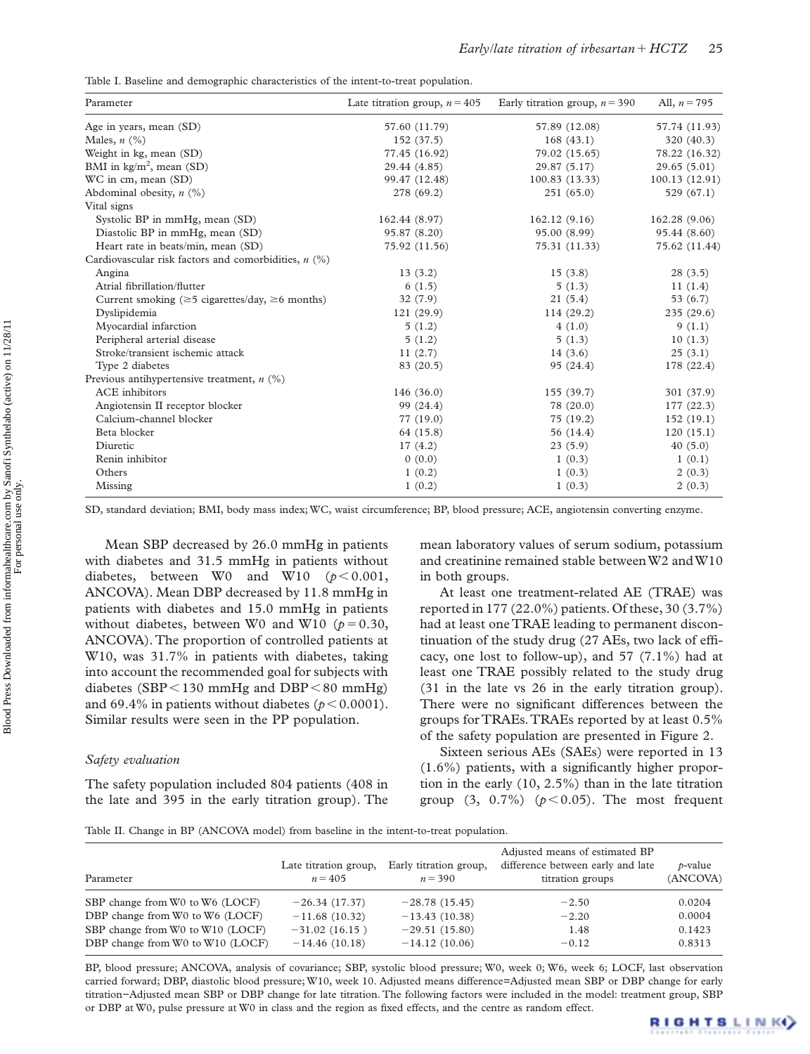Table I. Baseline and demographic characteristics of the intent-to-treat population.

| Parameter                                                   | Late titration group, $n = 405$ | Early titration group, $n = 390$ | All, $n = 795$ |  |
|-------------------------------------------------------------|---------------------------------|----------------------------------|----------------|--|
| Age in years, mean (SD)                                     | 57.60 (11.79)                   | 57.89 (12.08)                    | 57.74 (11.93)  |  |
| Males, $n$ (%)                                              | 152 (37.5)                      | 168(43.1)                        | 320 (40.3)     |  |
| Weight in kg, mean (SD)                                     | 77.45 (16.92)                   | 79.02 (15.65)                    | 78.22 (16.32)  |  |
| BMI in $\text{kg/m}^2$ , mean (SD)                          | 29.44 (4.85)                    | 29.87 (5.17)                     | 29.65(5.01)    |  |
| WC in cm, mean (SD)                                         | 99.47 (12.48)                   | 100.83 (13.33)                   | 100.13 (12.91) |  |
| Abdominal obesity, $n$ (%)                                  | 278 (69.2)                      | 251(65.0)                        | 529 (67.1)     |  |
| Vital signs                                                 |                                 |                                  |                |  |
| Systolic BP in mmHg, mean (SD)                              | 162.44 (8.97)                   | 162.12(9.16)                     | 162.28 (9.06)  |  |
| Diastolic BP in mmHg, mean (SD)                             | 95.87 (8.20)                    | 95.00 (8.99)                     | 95.44 (8.60)   |  |
| Heart rate in beats/min, mean (SD)                          | 75.92 (11.56)                   | 75.31 (11.33)                    | 75.62 (11.44)  |  |
| Cardiovascular risk factors and comorbidities, $n$ (%)      |                                 |                                  |                |  |
| Angina                                                      | 13(3.2)                         | 15(3.8)                          | 28(3.5)        |  |
| Atrial fibrillation/flutter                                 | 6(1.5)                          | 5(1.3)                           | 11(1.4)        |  |
| Current smoking ( $\geq$ 5 cigarettes/day, $\geq$ 6 months) | 32(7.9)                         | 21(5.4)                          | 53 (6.7)       |  |
| Dyslipidemia                                                | 121 (29.9)                      | 114 (29.2)                       | 235 (29.6)     |  |
| Myocardial infarction                                       | 5(1.2)                          | 4(1.0)                           | 9(1.1)         |  |
| Peripheral arterial disease                                 | 5(1.2)                          | 5(1.3)                           | 10(1.3)        |  |
| Stroke/transient ischemic attack                            | 11(2.7)                         | 14(3.6)                          | 25(3.1)        |  |
| Type 2 diabetes                                             | 83 (20.5)                       | 95 (24.4)                        | 178 (22.4)     |  |
| Previous antihypertensive treatment, $n$ (%)                |                                 |                                  |                |  |
| ACE inhibitors                                              | 146 (36.0)                      | 155 (39.7)                       | 301 (37.9)     |  |
| Angiotensin II receptor blocker                             | 99 (24.4)                       | 78 (20.0)                        | 177 (22.3)     |  |
| Calcium-channel blocker                                     | 77 (19.0)                       | 75(19.2)                         | 152(19.1)      |  |
| Beta blocker                                                | 64 (15.8)                       | 56 (14.4)                        | 120(15.1)      |  |
| Diuretic                                                    | 17(4.2)                         | 23(5.9)                          | 40(5.0)        |  |
| Renin inhibitor                                             | 0(0.0)                          | 1(0.3)                           | 1(0.1)         |  |
| Others                                                      | 1(0.2)                          | 1(0.3)                           | 2(0.3)         |  |
| Missing                                                     | 1(0.2)                          | 1(0.3)                           | 2(0.3)         |  |

SD, standard deviation; BMI, body mass index; WC, waist circumference; BP, blood pressure; ACE, angiotensin converting enzyme.

Mean SBP decreased by 26.0 mmHg in patients with diabetes and 31.5 mmHg in patients without diabetes, between W0 and W10  $(p < 0.001,$ ANCOVA). Mean DBP decreased by 11.8 mmHg in patients with diabetes and 15.0 mmHg in patients without diabetes, between W0 and W10 ( $p = 0.30$ , ANCOVA). The proportion of controlled patients at W10, was 31.7% in patients with diabetes, taking into account the recommended goal for subjects with diabetes (SBP  $<$  130 mmHg and DBP $<$  80 mmHg) and 69.4% in patients without diabetes  $(p < 0.0001)$ . Similar results were seen in the PP population.

#### *Safety evaluation*

The safety population included 804 patients (408 in the late and 395 in the early titration group). The

mean laboratory values of serum sodium, potassium and creatinine remained stable between W2 and W10 in both groups.

At least one treatment-related AE (TRAE) was reported in 177 (22.0%) patients. Of these, 30 (3.7%) had at least one TRAE leading to permanent discontinuation of the study drug (27 AEs, two lack of efficacy, one lost to follow-up), and 57 (7.1%) had at least one TRAE possibly related to the study drug (31 in the late vs 26 in the early titration group). There were no significant differences between the groups for TRAEs. TRAEs reported by at least 0.5% of the safety population are presented in Figure 2.

Sixteen serious AEs (SAEs) were reported in 13  $(1.6\%)$  patients, with a significantly higher proportion in the early (10, 2.5%) than in the late titration group  $(3, 0.7\%)$   $(p < 0.05)$ . The most frequent

|  |  |  |  |  | Table II. Change in BP (ANCOVA model) from baseline in the intent-to-treat population. |  |
|--|--|--|--|--|----------------------------------------------------------------------------------------|--|
|--|--|--|--|--|----------------------------------------------------------------------------------------|--|

| Parameter                        | Late titration group,<br>$n = 405$ | Early titration group,<br>$n = 390$ | Adjusted means of estimated BP<br>difference between early and late<br>titration groups | $p$ -value<br>(ANCOVA) |
|----------------------------------|------------------------------------|-------------------------------------|-----------------------------------------------------------------------------------------|------------------------|
| SBP change from W0 to W6 (LOCF)  | $-26.34(17.37)$                    | $-28.78(15.45)$                     | $-2.50$                                                                                 | 0.0204                 |
| DBP change from W0 to W6 (LOCF)  | $-11.68(10.32)$                    | $-13.43(10.38)$                     | $-2.20$                                                                                 | 0.0004                 |
| SBP change from W0 to W10 (LOCF) | $-31.02(16.15)$                    | $-29.51(15.80)$                     | 1.48                                                                                    | 0.1423                 |
| DBP change from W0 to W10 (LOCF) | $-14.46(10.18)$                    | $-14.12(10.06)$                     | $-0.12$                                                                                 | 0.8313                 |

BP, blood pressure; ANCOVA, analysis of covariance; SBP, systolic blood pressure; W0, week 0; W6, week 6; LOCF, last observation carried forward; DBP, diastolic blood pressure; W10, week 10. Adjusted means difference=Adjusted mean SBP or DBP change for early titration−Adjusted mean SBP or DBP change for late titration. The following factors were included in the model: treatment group, SBP or DBP at W0, pulse pressure at W0 in class and the region as fixed effects, and the centre as random effect.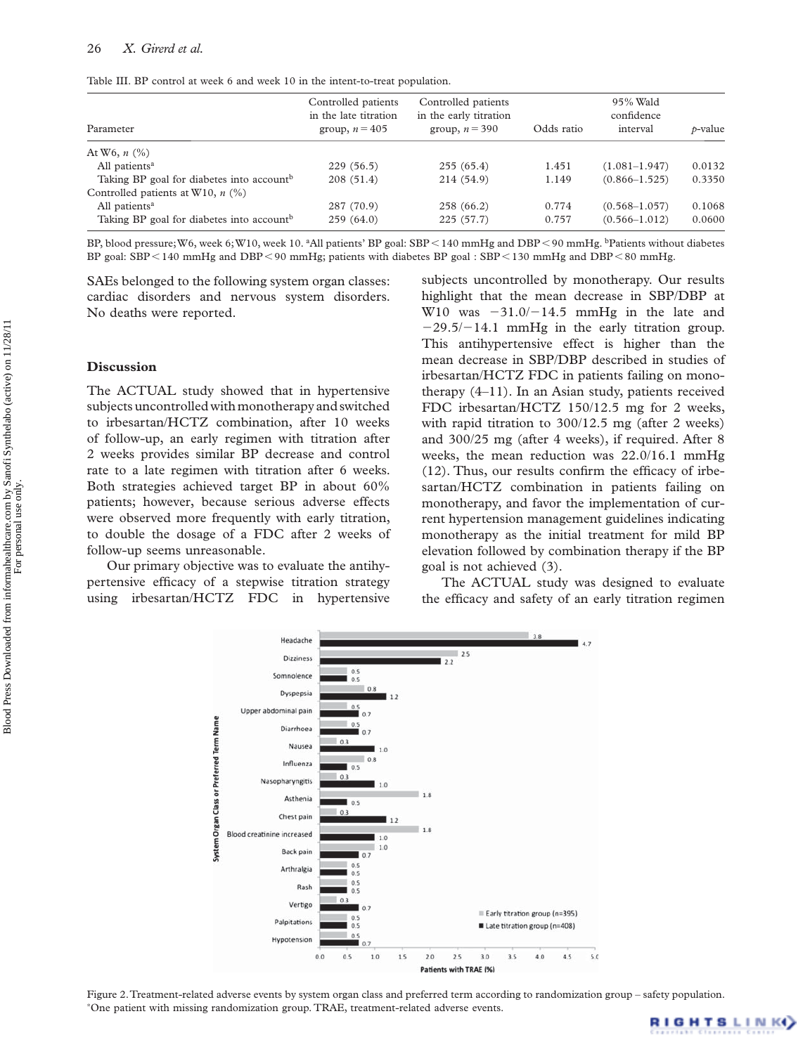|  |  |  |  |  |  |  |  | Table III. BP control at week 6 and week 10 in the intent-to-treat population. |  |
|--|--|--|--|--|--|--|--|--------------------------------------------------------------------------------|--|
|--|--|--|--|--|--|--|--|--------------------------------------------------------------------------------|--|

| Parameter                                             | Controlled patients<br>in the late titration<br>group, $n = 405$ | Controlled patients<br>in the early titration<br>group, $n = 390$ | Odds ratio | 95% Wald<br>confidence<br>interval | $p$ -value |
|-------------------------------------------------------|------------------------------------------------------------------|-------------------------------------------------------------------|------------|------------------------------------|------------|
| At W6, $n$ $(\%)$                                     |                                                                  |                                                                   |            |                                    |            |
| All patients <sup>a</sup>                             | 229 (56.5)                                                       | 255(65.4)                                                         | 1.451      | $(1.081 - 1.947)$                  | 0.0132     |
| Taking BP goal for diabetes into account <sup>b</sup> | 208(51.4)                                                        | 214 (54.9)                                                        | 1.149      | $(0.866 - 1.525)$                  | 0.3350     |
| Controlled patients at W10, $n$ (%)                   |                                                                  |                                                                   |            |                                    |            |
| All patients <sup>a</sup>                             | 287 (70.9)                                                       | 258 (66.2)                                                        | 0.774      | $(0.568 - 1.057)$                  | 0.1068     |
| Taking BP goal for diabetes into account <sup>b</sup> | 259 (64.0)                                                       | 225(57.7)                                                         | 0.757      | $(0.566 - 1.012)$                  | 0.0600     |

BP, blood pressure; W6, week 6; W10, week 10.  $A$ ll patients' BP goal: SBP < 140 mmHg and DBP < 90 mmHg.  $b$ Patients without diabetes BP goal: SBP < 140 mmHg and DBP < 90 mmHg; patients with diabetes BP goal : SBP < 130 mmHg and DBP < 80 mmHg.

SAEs belonged to the following system organ classes: cardiac disorders and nervous system disorders. No deaths were reported.

## **Discussion**

The ACTUAL study showed that in hypertensive subjects uncontrolled with monotherapy and switched to irbesartan/HCTZ combination, after 10 weeks of follow-up, an early regimen with titration after 2 weeks provides similar BP decrease and control rate to a late regimen with titration after 6 weeks. Both strategies achieved target BP in about 60% patients; however, because serious adverse effects were observed more frequently with early titration, to double the dosage of a FDC after 2 weeks of follow-up seems unreasonable.

Our primary objective was to evaluate the antihypertensive efficacy of a stepwise titration strategy using irbesartan/HCTZ FDC in hypertensive subjects uncontrolled by monotherapy. Our results highlight that the mean decrease in SBP/DBP at W10 was  $-31.0/-14.5$  mmHg in the late and  $-29.5/- 14.1$  mmHg in the early titration group. This antihypertensive effect is higher than the mean decrease in SBP/DBP described in studies of irbesartan/HCTZ FDC in patients failing on monotherapy  $(4-11)$ . In an Asian study, patients received FDC irbesartan/HCTZ 150/12.5 mg for 2 weeks, with rapid titration to 300/12.5 mg (after 2 weeks) and 300/25 mg (after 4 weeks), if required. After 8 weeks, the mean reduction was 22.0/16.1 mmHg  $(12)$ . Thus, our results confirm the efficacy of irbesartan/HCTZ combination in patients failing on monotherapy, and favor the implementation of current hypertension management guidelines indicating monotherapy as the initial treatment for mild BP elevation followed by combination therapy if the BP goal is not achieved (3).

The ACTUAL study was designed to evaluate the efficacy and safety of an early titration regimen



Figure 2. Treatment-related adverse events by system organ class and preferred term according to randomization group – safety population. <sup>∗</sup>One patient with missing randomization group. TRAE, treatment-related adverse events.

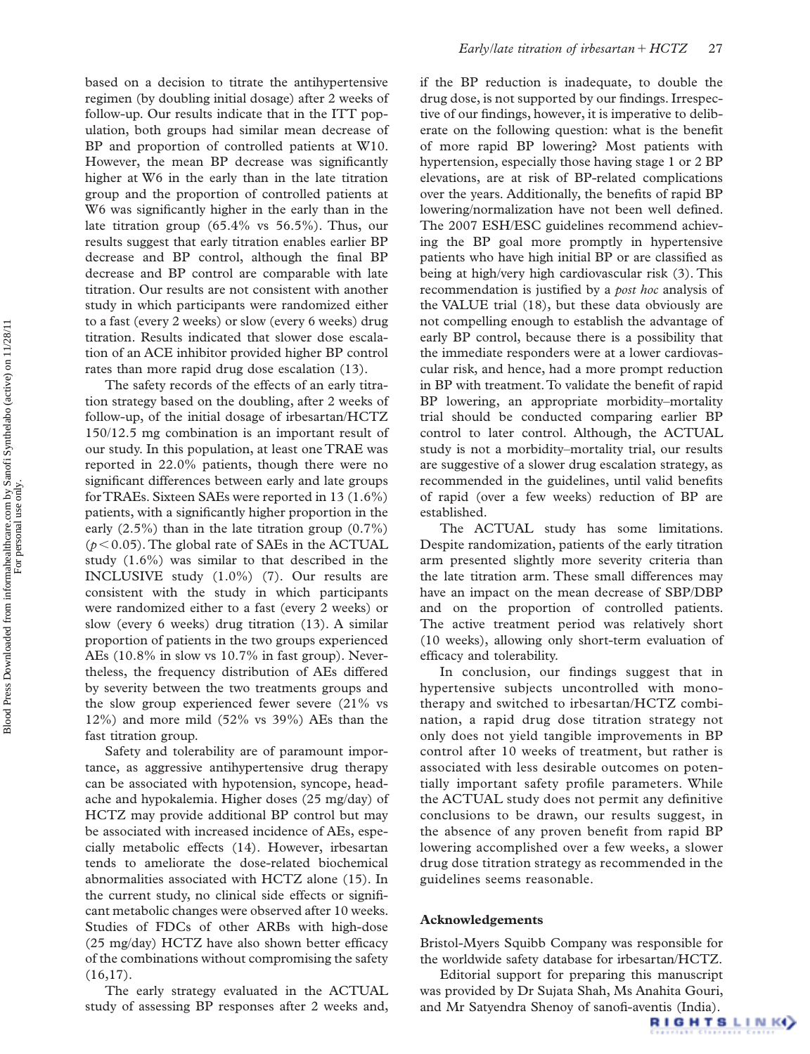based on a decision to titrate the antihypertensive regimen (by doubling initial dosage) after 2 weeks of follow-up. Our results indicate that in the ITT population, both groups had similar mean decrease of BP and proportion of controlled patients at W10. However, the mean BP decrease was significantly higher at W6 in the early than in the late titration group and the proportion of controlled patients at W6 was significantly higher in the early than in the late titration group (65.4% vs 56.5%). Thus, our results suggest that early titration enables earlier BP decrease and BP control, although the final BP decrease and BP control are comparable with late titration. Our results are not consistent with another study in which participants were randomized either to a fast (every 2 weeks) or slow (every 6 weeks) drug titration. Results indicated that slower dose escalation of an ACE inhibitor provided higher BP control rates than more rapid drug dose escalation (13).

The safety records of the effects of an early titration strategy based on the doubling, after 2 weeks of follow-up, of the initial dosage of irbesartan/HCTZ 150/12.5 mg combination is an important result of our study. In this population, at least one TRAE was reported in 22.0% patients, though there were no significant differences between early and late groups for TRAEs. Sixteen SAEs were reported in 13 (1.6%) patients, with a significantly higher proportion in the early (2.5%) than in the late titration group (0.7%)  $(p<0.05)$ . The global rate of SAEs in the ACTUAL study (1.6%) was similar to that described in the INCLUSIVE study (1.0%) (7). Our results are consistent with the study in which participants were randomized either to a fast (every 2 weeks) or slow (every 6 weeks) drug titration (13). A similar proportion of patients in the two groups experienced AEs (10.8% in slow vs 10.7% in fast group). Nevertheless, the frequency distribution of AEs differed by severity between the two treatments groups and the slow group experienced fewer severe (21% vs 12%) and more mild (52% vs 39%) AEs than the fast titration group.

Safety and tolerability are of paramount importance, as aggressive antihypertensive drug therapy can be associated with hypotension, syncope, headache and hypokalemia. Higher doses (25 mg/day) of HCTZ may provide additional BP control but may be associated with increased incidence of AEs, especially metabolic effects (14). However, irbesartan tends to ameliorate the dose-related biochemical abnormalities associated with HCTZ alone (15). In the current study, no clinical side effects or significant metabolic changes were observed after 10 weeks. Studies of FDCs of other ARBs with high-dose  $(25 \text{ mg/day})$  HCTZ have also shown better efficacy of the combinations without compromising the safety  $(16,17)$ .

The early strategy evaluated in the ACTUAL study of assessing BP responses after 2 weeks and, if the BP reduction is inadequate, to double the drug dose, is not supported by our findings. Irrespective of our findings, however, it is imperative to deliberate on the following question: what is the benefit of more rapid BP lowering? Most patients with hypertension, especially those having stage 1 or 2 BP elevations, are at risk of BP-related complications over the years. Additionally, the benefits of rapid BP lowering/normalization have not been well defined. The 2007 ESH/ESC guidelines recommend achieving the BP goal more promptly in hypertensive patients who have high initial BP or are classified as being at high/very high cardiovascular risk (3). This recommendation is justified by a *post hoc* analysis of the VALUE trial (18), but these data obviously are not compelling enough to establish the advantage of early BP control, because there is a possibility that the immediate responders were at a lower cardiovascular risk, and hence, had a more prompt reduction in BP with treatment. To validate the benefit of rapid BP lowering, an appropriate morbidity–mortality trial should be conducted comparing earlier BP control to later control. Although, the ACTUAL study is not a morbidity-mortality trial, our results are suggestive of a slower drug escalation strategy, as recommended in the guidelines, until valid benefits of rapid (over a few weeks) reduction of BP are established.

The ACTUAL study has some limitations. Despite randomization, patients of the early titration arm presented slightly more severity criteria than the late titration arm. These small differences may have an impact on the mean decrease of SBP/DBP and on the proportion of controlled patients. The active treatment period was relatively short (10 weeks), allowing only short-term evaluation of efficacy and tolerability.

In conclusion, our findings suggest that in hypertensive subjects uncontrolled with monotherapy and switched to irbesartan/HCTZ combination, a rapid drug dose titration strategy not only does not yield tangible improvements in BP control after 10 weeks of treatment, but rather is associated with less desirable outcomes on potentially important safety profile parameters. While the ACTUAL study does not permit any definitive conclusions to be drawn, our results suggest, in the absence of any proven benefit from rapid BP lowering accomplished over a few weeks, a slower drug dose titration strategy as recommended in the guidelines seems reasonable.

#### **Acknowledgements**

Bristol-Myers Squibb Company was responsible for the worldwide safety database for irbesartan/HCTZ.

Editorial support for preparing this manuscript was provided by Dr Sujata Shah, Ms Anahita Gouri, and Mr Satyendra Shenoy of sanofi-aventis (India).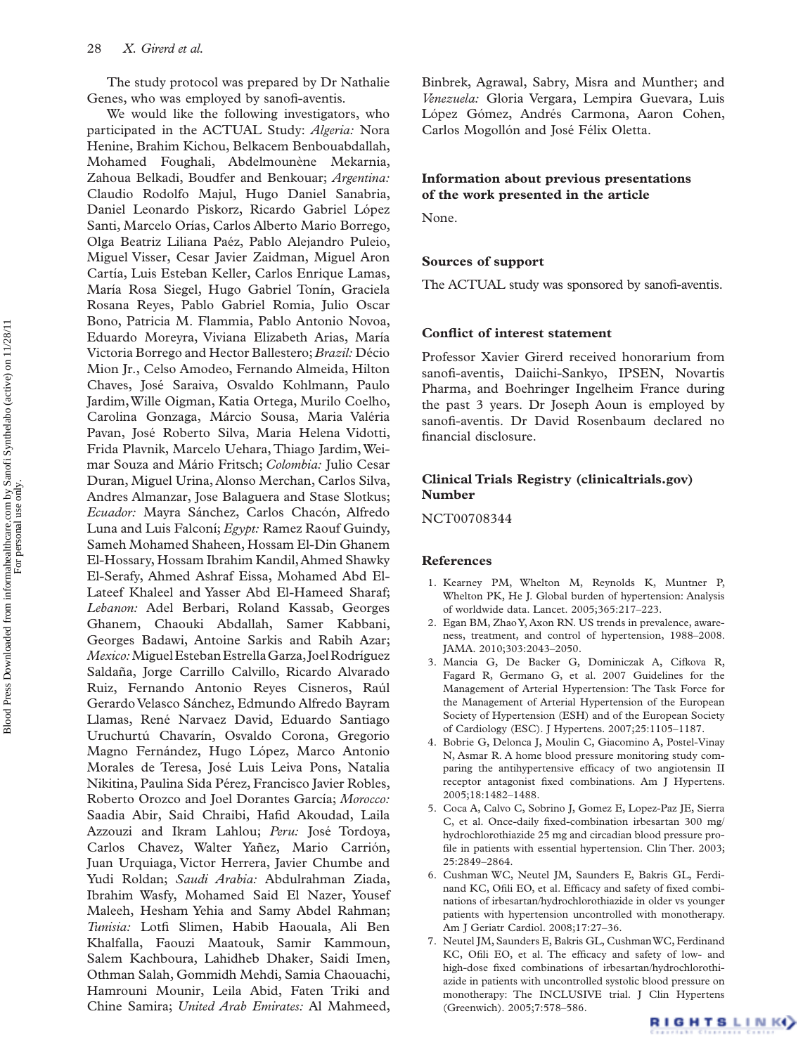The study protocol was prepared by Dr Nathalie Genes, who was employed by sanofi-aventis.

We would like the following investigators, who participated in the ACTUAL Study: *Algeria:* Nora Henine, Brahim Kichou, Belkacem Benbouabdallah, Mohamed Foughali, Abdelmounène Mekarnia, Zahoua Belkadi, Boudfer and Benkouar; *Argentina:* Claudio Rodolfo Majul, Hugo Daniel Sanabria, Daniel Leonardo Piskorz, Ricardo Gabriel López Santi, Marcelo Orías, Carlos Alberto Mario Borrego, Olga Beatriz Liliana Paéz, Pablo Alejandro Puleio, Miguel Visser, Cesar Javier Zaidman, Miguel Aron Cartía, Luis Esteban Keller, Carlos Enrique Lamas, María Rosa Siegel, Hugo Gabriel Tonín, Graciela Rosana Reyes, Pablo Gabriel Romia, Julio Oscar Bono, Patricia M. Flammia, Pablo Antonio Novoa, Eduardo Moreyra, Viviana Elizabeth Arias, María Victoria Borrego and Hector Ballestero; *Brazil:* Décio Mion Jr., Celso Amodeo, Fernando Almeida, Hilton Chaves, José Saraiva, Osvaldo Kohlmann, Paulo Jardim, Wille Oigman, Katia Ortega, Murilo Coelho, Carolina Gonzaga, Márcio Sousa, Maria Valéria Pavan, José Roberto Silva, Maria Helena Vidotti, Frida Plavnik, Marcelo Uehara, Thiago Jardim, Weimar Souza and Mário Fritsch; Colombia: Julio Cesar Duran, Miguel Urina, Alonso Merchan, Carlos Silva, Andres Almanzar, Jose Balaguera and Stase Slotkus; *Ecuador: Mayra Sánchez, Carlos Chacón, Alfredo* Luna and Luis Falconí; *Egypt:* Ramez Raouf Guindy, Sameh Mohamed Shaheen, Hossam El-Din Ghanem El-Hossary, Hossam Ibrahim Kandil, Ahmed Shawky El-Serafy, Ahmed Ashraf Eissa, Mohamed Abd El-Lateef Khaleel and Yasser Abd El-Hameed Sharaf; *Lebanon:* Adel Berbari, Roland Kassab, Georges Ghanem, Chaouki Abdallah, Samer Kabbani, Georges Badawi, Antoine Sarkis and Rabih Azar; *Mexico:* Miguel Esteban Estrella Garza, Joel Rodríguez Saldaña, Jorge Carrillo Calvillo, Ricardo Alvarado Ruiz, Fernando Antonio Reyes Cisneros, Raúl Gerardo Velasco Sánchez, Edmundo Alfredo Bayram Llamas, René Narvaez David, Eduardo Santiago Uruchurtú Chavarín, Osvaldo Corona, Gregorio Magno Fernández, Hugo López, Marco Antonio Morales de Teresa, José Luis Leiva Pons, Natalia Nikitina, Paulina Sida Pérez, Francisco Javier Robles, Roberto Orozco and Joel Dorantes García; Morocco: Saadia Abir, Said Chraibi, Hafid Akoudad, Laila Azzouzi and Ikram Lahlou; *Peru:* José Tordoya, Carlos Chavez, Walter Yañez, Mario Carrión, Juan Urquiaga, Victor Herrera, Javier Chumbe and Yudi Roldan; *Saudi Arabia:* Abdulrahman Ziada, Ibrahim Wasfy, Mohamed Said El Nazer, Yousef Maleeh, Hesham Yehia and Samy Abdel Rahman; *Tunisia:* Lotfi Slimen, Habib Haouala, Ali Ben Khalfalla, Faouzi Maatouk, Samir Kammoun, Salem Kachboura, Lahidheb Dhaker, Saidi Imen, Othman Salah, Gommidh Mehdi, Samia Chaouachi, Hamrouni Mounir, Leila Abid, Faten Triki and Chine Samira; *United Arab Emirates:* Al Mahmeed,

Binbrek, Agrawal, Sabry, Misra and Munther; and *Venezuela:* Gloria Vergara, Lempira Guevara, Luis López Gómez, Andrés Carmona, Aaron Cohen, Carlos Mogollón and José Félix Oletta.

## **Information about previous presentations of the work presented in the article**

None.

#### **Sources of support**

The ACTUAL study was sponsored by sanofi-aventis.

## **Conflict of interest statement**

Professor Xavier Girerd received honorarium from sanofi-aventis, Daiichi-Sankyo, IPSEN, Novartis Pharma, and Boehringer Ingelheim France during the past 3 years. Dr Joseph Aoun is employed by sanofi-aventis. Dr David Rosenbaum declared no financial disclosure.

## **Clinical Trials Registry (clinicaltrials.gov) Number**

NCT00708344

#### **References**

- 1. Kearney PM, Whelton M, Reynolds K, Muntner P, Whelton PK, He J. Global burden of hypertension: Analysis of worldwide data. Lancet. 2005;365:217 – 223.
- 2. Egan BM, Zhao Y, Axon RN. US trends in prevalence, awareness, treatment, and control of hypertension, 1988-2008. JAMA. 2010;303:2043-2050.
- 3. Mancia G, De Backer G, Dominiczak A, Cifkova R, Fagard R, Germano G, et al. 2007 Guidelines for the Management of Arterial Hypertension: The Task Force for the Management of Arterial Hypertension of the European Society of Hypertension (ESH) and of the European Society of Cardiology (ESC). J Hypertens. 2007;25:1105-1187.
- 4. Bobrie G, Delonca J, Moulin C, Giacomino A, Postel-Vinay N, Asmar R. A home blood pressure monitoring study comparing the antihypertensive efficacy of two angiotensin II receptor antagonist fixed combinations. Am J Hypertens. 2005;18:1482 – 1488.
- 5. Coca A, Calvo C, Sobrino J, Gomez E, Lopez-Paz JE, Sierra C, et al. Once-daily fixed-combination irbesartan 300 mg/ hydrochlorothiazide 25 mg and circadian blood pressure profile in patients with essential hypertension. Clin Ther. 2003; 25:2849-2864.
- 6. Cushman WC, Neutel JM, Saunders E, Bakris GL, Ferdinand KC, Ofili EO, et al. Efficacy and safety of fixed combinations of irbesartan/hydrochlorothiazide in older vs younger patients with hypertension uncontrolled with monotherapy. Am J Geriatr Cardiol. 2008;17:27-36.
- 7. Neutel JM, Saunders E, Bakris GL, Cushman WC, Ferdinand KC, Ofili EO, et al. The efficacy and safety of low- and high-dose fixed combinations of irbesartan/hydrochlorothiazide in patients with uncontrolled systolic blood pressure on monotherapy: The INCLUSIVE trial. J Clin Hypertens (Greenwich). 2005;7:578-586. RIGHTSLINKO